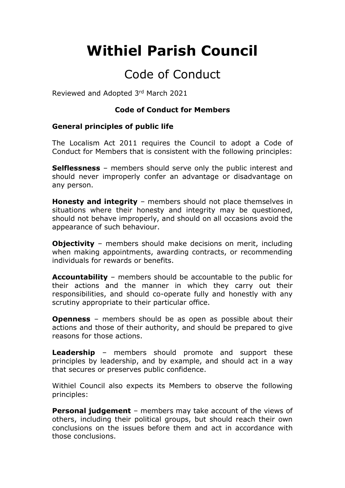# **Withiel Parish Council**

# Code of Conduct

Reviewed and Adopted 3rd March 2021

#### **Code of Conduct for Members**

#### **General principles of public life**

The Localism Act 2011 requires the Council to adopt a Code of Conduct for Members that is consistent with the following principles:

**Selflessness** – members should serve only the public interest and should never improperly confer an advantage or disadvantage on any person.

**Honesty and integrity** – members should not place themselves in situations where their honesty and integrity may be questioned, should not behave improperly, and should on all occasions avoid the appearance of such behaviour.

**Objectivity** – members should make decisions on merit, including when making appointments, awarding contracts, or recommending individuals for rewards or benefits.

**Accountability** – members should be accountable to the public for their actions and the manner in which they carry out their responsibilities, and should co-operate fully and honestly with any scrutiny appropriate to their particular office.

**Openness** – members should be as open as possible about their actions and those of their authority, and should be prepared to give reasons for those actions.

**Leadership** – members should promote and support these principles by leadership, and by example, and should act in a way that secures or preserves public confidence.

Withiel Council also expects its Members to observe the following principles:

**Personal judgement** – members may take account of the views of others, including their political groups, but should reach their own conclusions on the issues before them and act in accordance with those conclusions.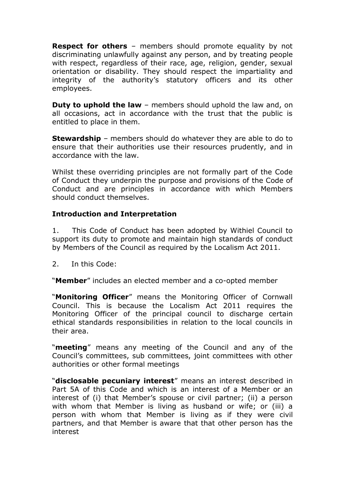**Respect for others** – members should promote equality by not discriminating unlawfully against any person, and by treating people with respect, regardless of their race, age, religion, gender, sexual orientation or disability. They should respect the impartiality and integrity of the authority's statutory officers and its other employees.

**Duty to uphold the law** – members should uphold the law and, on all occasions, act in accordance with the trust that the public is entitled to place in them.

**Stewardship** – members should do whatever they are able to do to ensure that their authorities use their resources prudently, and in accordance with the law.

Whilst these overriding principles are not formally part of the Code of Conduct they underpin the purpose and provisions of the Code of Conduct and are principles in accordance with which Members should conduct themselves.

# **Introduction and Interpretation**

1. This Code of Conduct has been adopted by Withiel Council to support its duty to promote and maintain high standards of conduct by Members of the Council as required by the Localism Act 2011.

2. In this Code:

"**Member**" includes an elected member and a co-opted member

"**Monitoring Officer**" means the Monitoring Officer of Cornwall Council. This is because the Localism Act 2011 requires the Monitoring Officer of the principal council to discharge certain ethical standards responsibilities in relation to the local councils in their area.

"**meeting**" means any meeting of the Council and any of the Council's committees, sub committees, joint committees with other authorities or other formal meetings

"**disclosable pecuniary interest**" means an interest described in Part 5A of this Code and which is an interest of a Member or an interest of (i) that Member's spouse or civil partner; (ii) a person with whom that Member is living as husband or wife; or (iii) a person with whom that Member is living as if they were civil partners, and that Member is aware that that other person has the interest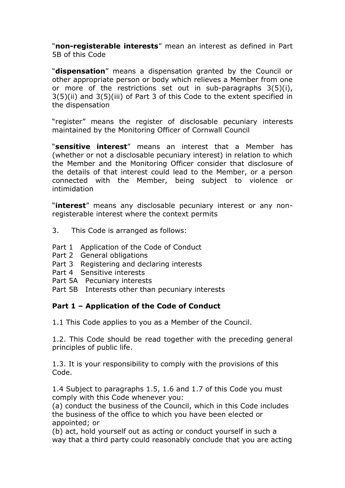"**non-registerable interests**" mean an interest as defined in Part 5B of this Code

"**dispensation**" means a dispensation granted by the Council or other appropriate person or body which relieves a Member from one or more of the restrictions set out in sub-paragraphs 3(5)(i), 3(5)(ii) and 3(5)(iii) of Part 3 of this Code to the extent specified in the dispensation

"register" means the register of disclosable pecuniary interests maintained by the Monitoring Officer of Cornwall Council

"**sensitive interest**" means an interest that a Member has (whether or not a disclosable pecuniary interest) in relation to which the Member and the Monitoring Officer consider that disclosure of the details of that interest could lead to the Member, or a person connected with the Member, being subject to violence or intimidation

"**interest**" means any disclosable pecuniary interest or any nonregisterable interest where the context permits

- 3. This Code is arranged as follows:
- Part 1 Application of the Code of Conduct
- Part 2 General obligations
- Part 3 Registering and declaring interests
- Part 4 Sensitive interests
- Part 5A Pecuniary interests
- Part 5B Interests other than pecuniary interests

# **Part 1 – Application of the Code of Conduct**

1.1 This Code applies to you as a Member of the Council.

1.2. This Code should be read together with the preceding general principles of public life.

1.3. It is your responsibility to comply with the provisions of this Code.

1.4 Subject to paragraphs 1.5, 1.6 and 1.7 of this Code you must comply with this Code whenever you:

(a) conduct the business of the Council, which in this Code includes the business of the office to which you have been elected or appointed; or

(b) act, hold yourself out as acting or conduct yourself in such a way that a third party could reasonably conclude that you are acting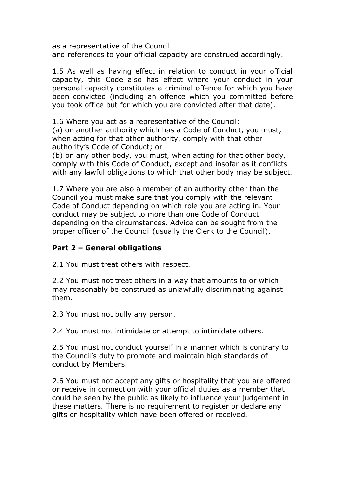as a representative of the Council and references to your official capacity are construed accordingly.

1.5 As well as having effect in relation to conduct in your official capacity, this Code also has effect where your conduct in your personal capacity constitutes a criminal offence for which you have been convicted (including an offence which you committed before you took office but for which you are convicted after that date).

1.6 Where you act as a representative of the Council:

(a) on another authority which has a Code of Conduct, you must, when acting for that other authority, comply with that other authority's Code of Conduct; or

(b) on any other body, you must, when acting for that other body, comply with this Code of Conduct, except and insofar as it conflicts with any lawful obligations to which that other body may be subject.

1.7 Where you are also a member of an authority other than the Council you must make sure that you comply with the relevant Code of Conduct depending on which role you are acting in. Your conduct may be subject to more than one Code of Conduct depending on the circumstances. Advice can be sought from the proper officer of the Council (usually the Clerk to the Council).

#### **Part 2 – General obligations**

2.1 You must treat others with respect.

2.2 You must not treat others in a way that amounts to or which may reasonably be construed as unlawfully discriminating against them.

2.3 You must not bully any person.

2.4 You must not intimidate or attempt to intimidate others.

2.5 You must not conduct yourself in a manner which is contrary to the Council's duty to promote and maintain high standards of conduct by Members.

2.6 You must not accept any gifts or hospitality that you are offered or receive in connection with your official duties as a member that could be seen by the public as likely to influence your judgement in these matters. There is no requirement to register or declare any gifts or hospitality which have been offered or received.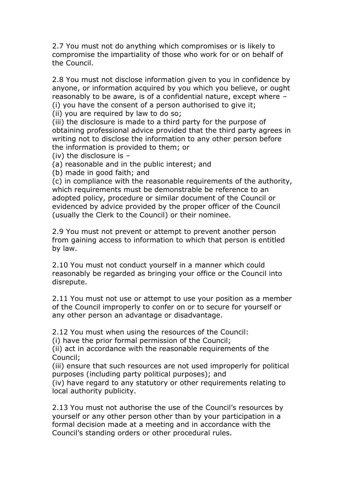2.7 You must not do anything which compromises or is likely to compromise the impartiality of those who work for or on behalf of the Council.

2.8 You must not disclose information given to you in confidence by anyone, or information acquired by you which you believe, or ought reasonably to be aware, is of a confidential nature, except where – (i) you have the consent of a person authorised to give it;

(ii) you are required by law to do so;

(iii) the disclosure is made to a third party for the purpose of obtaining professional advice provided that the third party agrees in writing not to disclose the information to any other person before the information is provided to them; or

(iv) the disclosure is –

(a) reasonable and in the public interest; and

(b) made in good faith; and

(c) in compliance with the reasonable requirements of the authority, which requirements must be demonstrable be reference to an adopted policy, procedure or similar document of the Council or evidenced by advice provided by the proper officer of the Council (usually the Clerk to the Council) or their nominee.

2.9 You must not prevent or attempt to prevent another person from gaining access to information to which that person is entitled by law.

2.10 You must not conduct yourself in a manner which could reasonably be regarded as bringing your office or the Council into disrepute.

2.11 You must not use or attempt to use your position as a member of the Council improperly to confer on or to secure for yourself or any other person an advantage or disadvantage.

2.12 You must when using the resources of the Council:

(i) have the prior formal permission of the Council;

(ii) act in accordance with the reasonable requirements of the Council;

(iii) ensure that such resources are not used improperly for political purposes (including party political purposes); and

(iv) have regard to any statutory or other requirements relating to local authority publicity.

2.13 You must not authorise the use of the Council's resources by yourself or any other person other than by your participation in a formal decision made at a meeting and in accordance with the Council's standing orders or other procedural rules.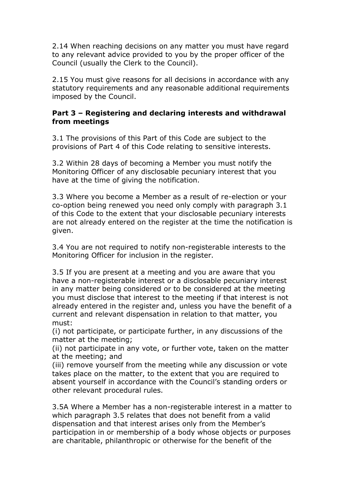2.14 When reaching decisions on any matter you must have regard to any relevant advice provided to you by the proper officer of the Council (usually the Clerk to the Council).

2.15 You must give reasons for all decisions in accordance with any statutory requirements and any reasonable additional requirements imposed by the Council.

### **Part 3 – Registering and declaring interests and withdrawal from meetings**

3.1 The provisions of this Part of this Code are subject to the provisions of Part 4 of this Code relating to sensitive interests.

3.2 Within 28 days of becoming a Member you must notify the Monitoring Officer of any disclosable pecuniary interest that you have at the time of giving the notification.

3.3 Where you become a Member as a result of re-election or your co-option being renewed you need only comply with paragraph 3.1 of this Code to the extent that your disclosable pecuniary interests are not already entered on the register at the time the notification is given.

3.4 You are not required to notify non-registerable interests to the Monitoring Officer for inclusion in the register.

3.5 If you are present at a meeting and you are aware that you have a non-registerable interest or a disclosable pecuniary interest in any matter being considered or to be considered at the meeting you must disclose that interest to the meeting if that interest is not already entered in the register and, unless you have the benefit of a current and relevant dispensation in relation to that matter, you must:

(i) not participate, or participate further, in any discussions of the matter at the meeting;

(ii) not participate in any vote, or further vote, taken on the matter at the meeting; and

(iii) remove yourself from the meeting while any discussion or vote takes place on the matter, to the extent that you are required to absent yourself in accordance with the Council's standing orders or other relevant procedural rules.

3.5A Where a Member has a non-registerable interest in a matter to which paragraph 3.5 relates that does not benefit from a valid dispensation and that interest arises only from the Member's participation in or membership of a body whose objects or purposes are charitable, philanthropic or otherwise for the benefit of the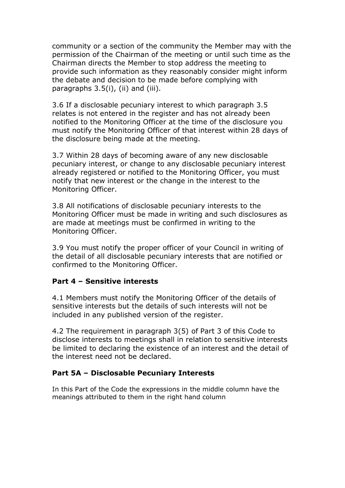community or a section of the community the Member may with the permission of the Chairman of the meeting or until such time as the Chairman directs the Member to stop address the meeting to provide such information as they reasonably consider might inform the debate and decision to be made before complying with paragraphs 3.5(i), (ii) and (iii).

3.6 If a disclosable pecuniary interest to which paragraph 3.5 relates is not entered in the register and has not already been notified to the Monitoring Officer at the time of the disclosure you must notify the Monitoring Officer of that interest within 28 days of the disclosure being made at the meeting.

3.7 Within 28 days of becoming aware of any new disclosable pecuniary interest, or change to any disclosable pecuniary interest already registered or notified to the Monitoring Officer, you must notify that new interest or the change in the interest to the Monitoring Officer.

3.8 All notifications of disclosable pecuniary interests to the Monitoring Officer must be made in writing and such disclosures as are made at meetings must be confirmed in writing to the Monitoring Officer.

3.9 You must notify the proper officer of your Council in writing of the detail of all disclosable pecuniary interests that are notified or confirmed to the Monitoring Officer.

# **Part 4 – Sensitive interests**

4.1 Members must notify the Monitoring Officer of the details of sensitive interests but the details of such interests will not be included in any published version of the register.

4.2 The requirement in paragraph 3(5) of Part 3 of this Code to disclose interests to meetings shall in relation to sensitive interests be limited to declaring the existence of an interest and the detail of the interest need not be declared.

#### **Part 5A – Disclosable Pecuniary Interests**

In this Part of the Code the expressions in the middle column have the meanings attributed to them in the right hand column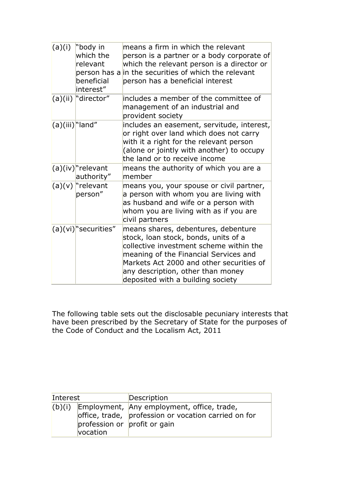| (a)(i)             | "body in<br>which the<br>relevant<br>beneficial<br>interest" | means a firm in which the relevant<br>person is a partner or a body corporate of<br>which the relevant person is a director or<br>person has a in the securities of which the relevant<br>person has a beneficial interest                                                            |
|--------------------|--------------------------------------------------------------|---------------------------------------------------------------------------------------------------------------------------------------------------------------------------------------------------------------------------------------------------------------------------------------|
|                    | (a)(ii) director"                                            | lincludes a member of the committee of<br>management of an industrial and<br>provident society                                                                                                                                                                                        |
| $(a)(iii)^n$ land" |                                                              | includes an easement, servitude, interest,<br>or right over land which does not carry<br>with it a right for the relevant person<br>(alone or jointly with another) to occupy<br>the land or to receive income                                                                        |
|                    | $(a)(iv)^n$ relevant<br>authority"                           | means the authority of which you are a<br>member                                                                                                                                                                                                                                      |
|                    | $(a)(v)$ "relevant"<br>person"                               | means you, your spouse or civil partner,<br>a person with whom you are living with<br>as husband and wife or a person with<br>whom you are living with as if you are<br>civil partners                                                                                                |
|                    | $(a)(vi)^{n}$ securities"                                    | means shares, debentures, debenture<br>stock, loan stock, bonds, units of a<br>collective investment scheme within the<br>meaning of the Financial Services and<br>Markets Act 2000 and other securities of<br>any description, other than money<br>deposited with a building society |

The following table sets out the disclosable pecuniary interests that have been prescribed by the Secretary of State for the purposes of the Code of Conduct and the Localism Act, 2011

| Interest |                                          | Description                                                                                        |
|----------|------------------------------------------|----------------------------------------------------------------------------------------------------|
| (b)(i)   | profession or profit or gain<br>vocation | Employment, Any employment, office, trade,<br>office, trade, profession or vocation carried on for |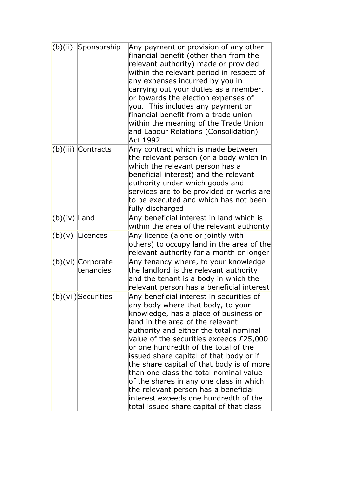| (b)(ii)        | Sponsorship                      | Any payment or provision of any other<br>financial benefit (other than from the<br>relevant authority) made or provided<br>within the relevant period in respect of<br>any expenses incurred by you in<br>carrying out your duties as a member,<br>or towards the election expenses of<br>you. This includes any payment or<br>financial benefit from a trade union<br>within the meaning of the Trade Union<br>and Labour Relations (Consolidation)<br>Act 1992                                                                                                                                  |
|----------------|----------------------------------|---------------------------------------------------------------------------------------------------------------------------------------------------------------------------------------------------------------------------------------------------------------------------------------------------------------------------------------------------------------------------------------------------------------------------------------------------------------------------------------------------------------------------------------------------------------------------------------------------|
|                | $(b)(iii)$ Contracts             | Any contract which is made between<br>the relevant person (or a body which in<br>which the relevant person has a<br>beneficial interest) and the relevant<br>authority under which goods and<br>services are to be provided or works are<br>to be executed and which has not been<br>fully discharged                                                                                                                                                                                                                                                                                             |
| $(b)(iv)$ Land |                                  | Any beneficial interest in land which is<br>within the area of the relevant authority                                                                                                                                                                                                                                                                                                                                                                                                                                                                                                             |
| (b)(v)         | Licences                         | Any licence (alone or jointly with<br>others) to occupy land in the area of the<br>relevant authority for a month or longer                                                                                                                                                                                                                                                                                                                                                                                                                                                                       |
|                | $(b)(vi)$ Corporate<br>tenancies | Any tenancy where, to your knowledge<br>the landlord is the relevant authority<br>and the tenant is a body in which the<br>relevant person has a beneficial interest                                                                                                                                                                                                                                                                                                                                                                                                                              |
|                | $(b)(vii)$ Securities            | Any beneficial interest in securities of<br>any body where that body, to your<br>knowledge, has a place of business or<br>land in the area of the relevant<br>authority and either the total nominal<br>value of the securities exceeds £25,000<br>or one hundredth of the total of the<br>issued share capital of that body or if<br>the share capital of that body is of more<br>than one class the total nominal value<br>of the shares in any one class in which<br>the relevant person has a beneficial<br>interest exceeds one hundredth of the<br>total issued share capital of that class |